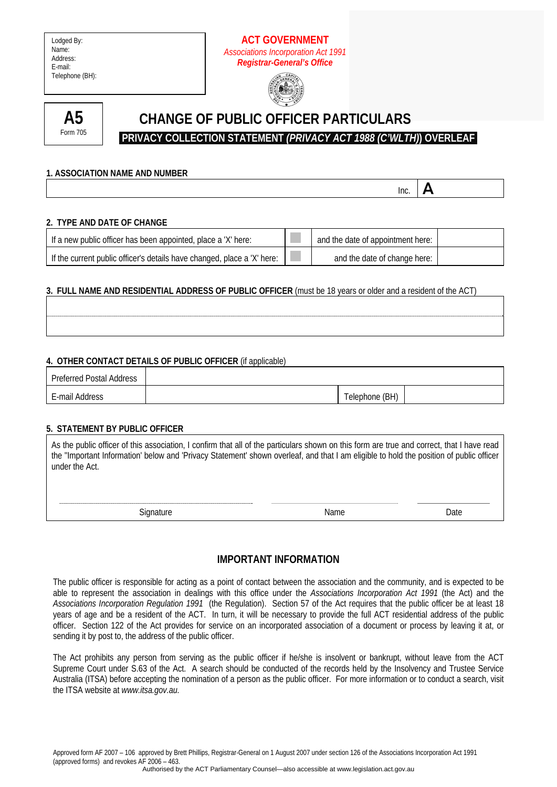## **ACT GOVERNMENT**  *Associations Incorporation Act 1991 Registrar-General's Office*





# **CHANGE OF PUBLIC OFFICER PARTICULARS**

 **PRIVACY COLLECTION STATEMENT** *(PRIVACY ACT 1988 (C'WLTH)***) OVERLEAF** 

#### **1. ASSOCIATION NAME AND NUMBER**

**Inc.**  $\mathbf{A}$ 

#### **2. TYPE AND DATE OF CHANGE**

| If a new public officer has been appointed, place a 'X' here:           | and the date of appointment here: |  |
|-------------------------------------------------------------------------|-----------------------------------|--|
| If the current public officer's details have changed, place a 'X' here: | and the date of change here:      |  |

## **3. FULL NAME AND RESIDENTIAL ADDRESS OF PUBLIC OFFICER** (must be 18 years or older and a resident of the ACT)

#### **4. OTHER CONTACT DETAILS OF PUBLIC OFFICER** (if applicable)

| <b>Preferred Postal Address</b> |                |  |
|---------------------------------|----------------|--|
| E-mail Address                  | Telephone (BH) |  |

#### **5. STATEMENT BY PUBLIC OFFICER**

| As the public officer of this association, I confirm that all of the particulars shown on this form are true and correct, that I have read<br>the "Important Information' below and 'Privacy Statement' shown overleaf, and that I am eligible to hold the position of public officer<br>under the Act. |
|---------------------------------------------------------------------------------------------------------------------------------------------------------------------------------------------------------------------------------------------------------------------------------------------------------|
|                                                                                                                                                                                                                                                                                                         |
|                                                                                                                                                                                                                                                                                                         |

**IMPORTANT INFORMATION** 

Signature Date Date Name Name Date

The public officer is responsible for acting as a point of contact between the association and the community, and is expected to be able to represent the association in dealings with this office under the *Associations Incorporation Act 1991* (the Act) and the *Associations Incorporation Regulation 1991* (the Regulation). Section 57 of the Act requires that the public officer be at least 18 years of age and be a resident of the ACT. In turn, it will be necessary to provide the full ACT residential address of the public officer. Section 122 of the Act provides for service on an incorporated association of a document or process by leaving it at, or sending it by post to, the address of the public officer.

The Act prohibits any person from serving as the public officer if he/she is insolvent or bankrupt, without leave from the ACT Supreme Court under S.63 of the Act. A search should be conducted of the records held by the Insolvency and Trustee Service Australia (ITSA) before accepting the nomination of a person as the public officer. For more information or to conduct a search, visit the ITSA website at *www.itsa.gov.au.*